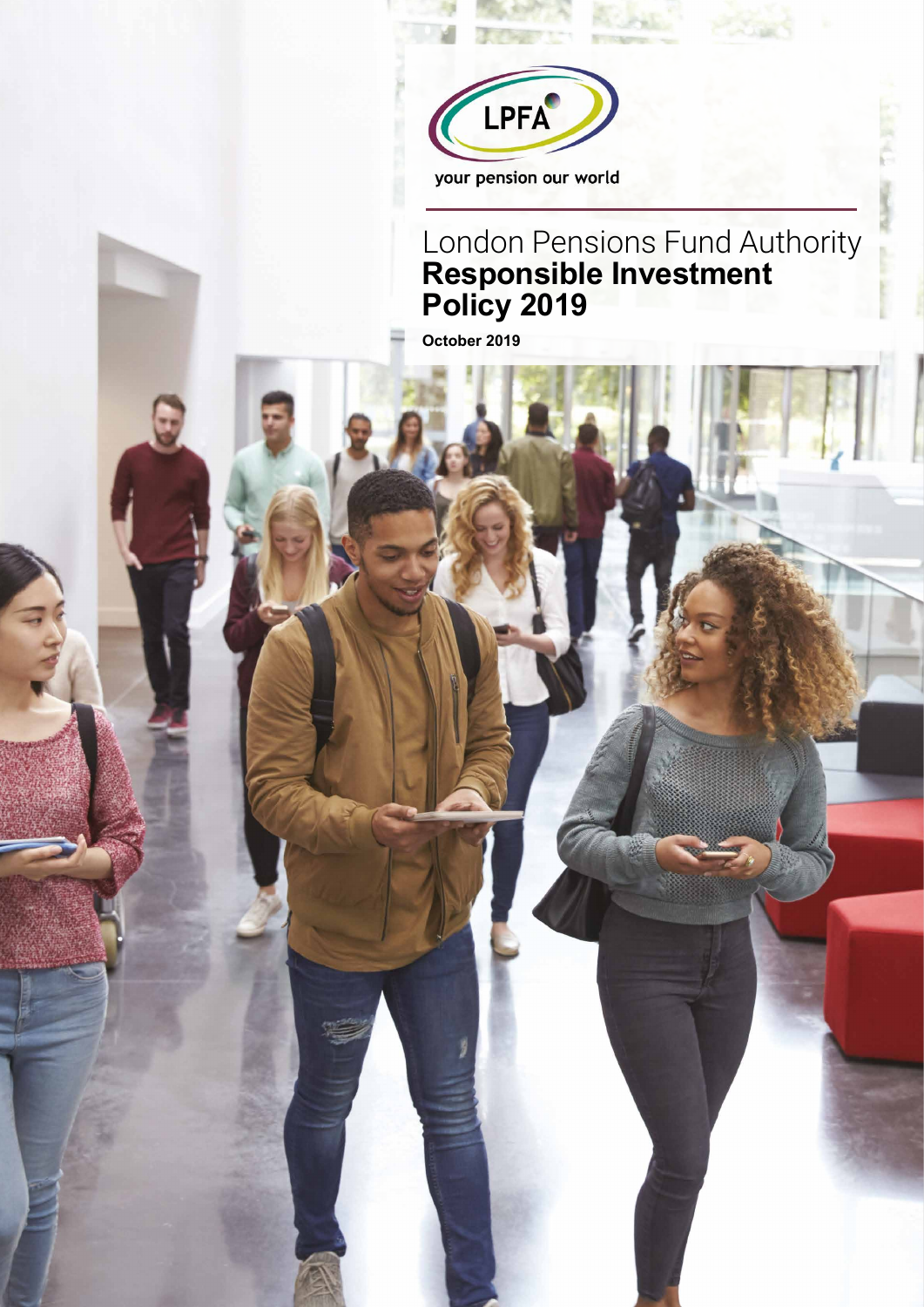

### London Pensions Fund Authority **Responsible Investment Policy 2019**

**October 2019**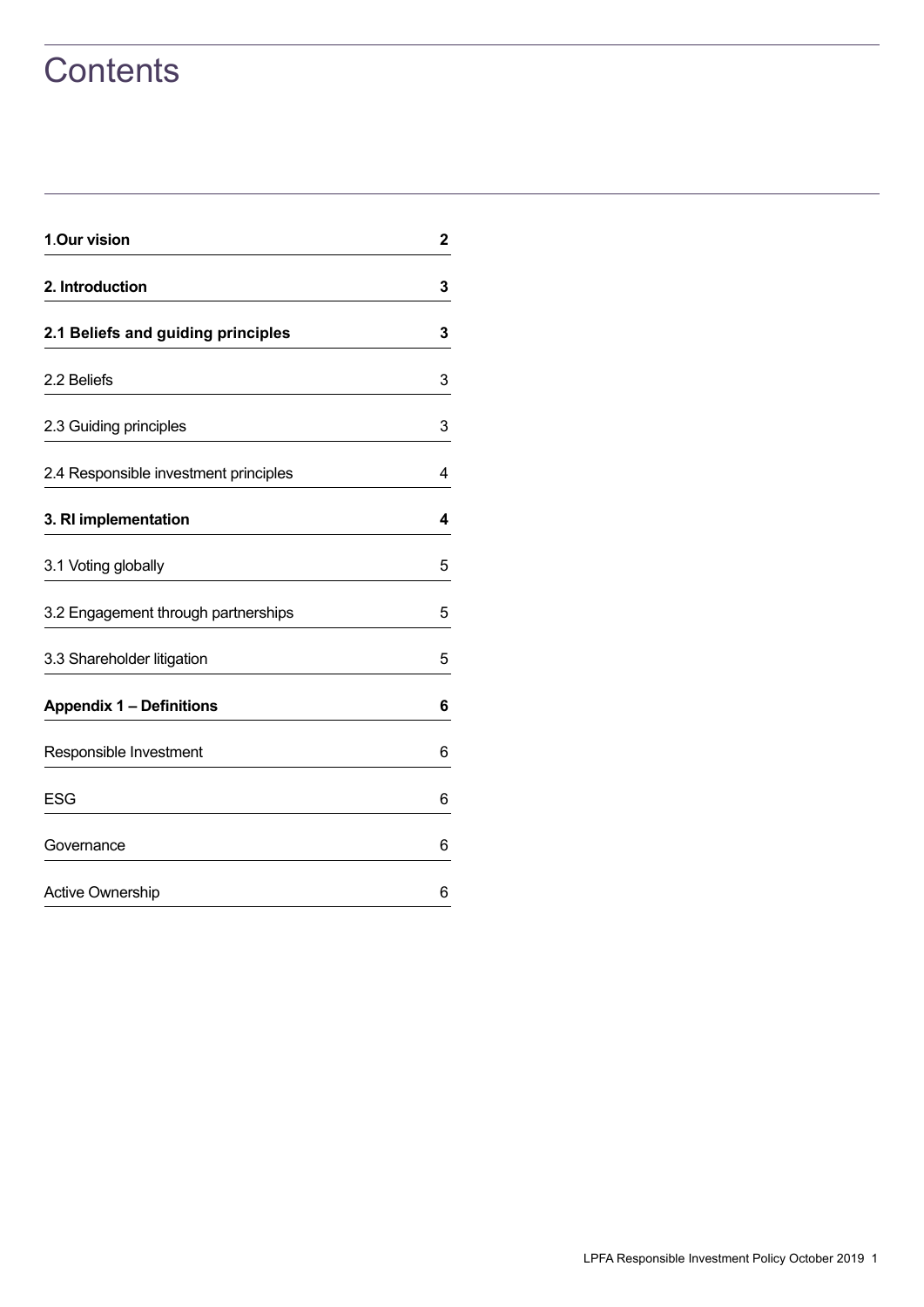## **Contents**

| 1.Our vision                          | $\overline{2}$ |
|---------------------------------------|----------------|
| 2. Introduction                       | 3              |
| 2.1 Beliefs and guiding principles    | 3              |
| 2.2 Beliefs                           | 3              |
| 2.3 Guiding principles                | 3              |
| 2.4 Responsible investment principles | 4              |
| 3. RI implementation                  | 4              |
| 3.1 Voting globally                   | 5              |
| 3.2 Engagement through partnerships   | 5              |
| 3.3 Shareholder litigation            | 5              |
| <b>Appendix 1 - Definitions</b>       | 6              |
| Responsible Investment                | 6              |
| <b>ESG</b>                            | 6              |
| Governance                            | 6              |
| <b>Active Ownership</b>               | 6              |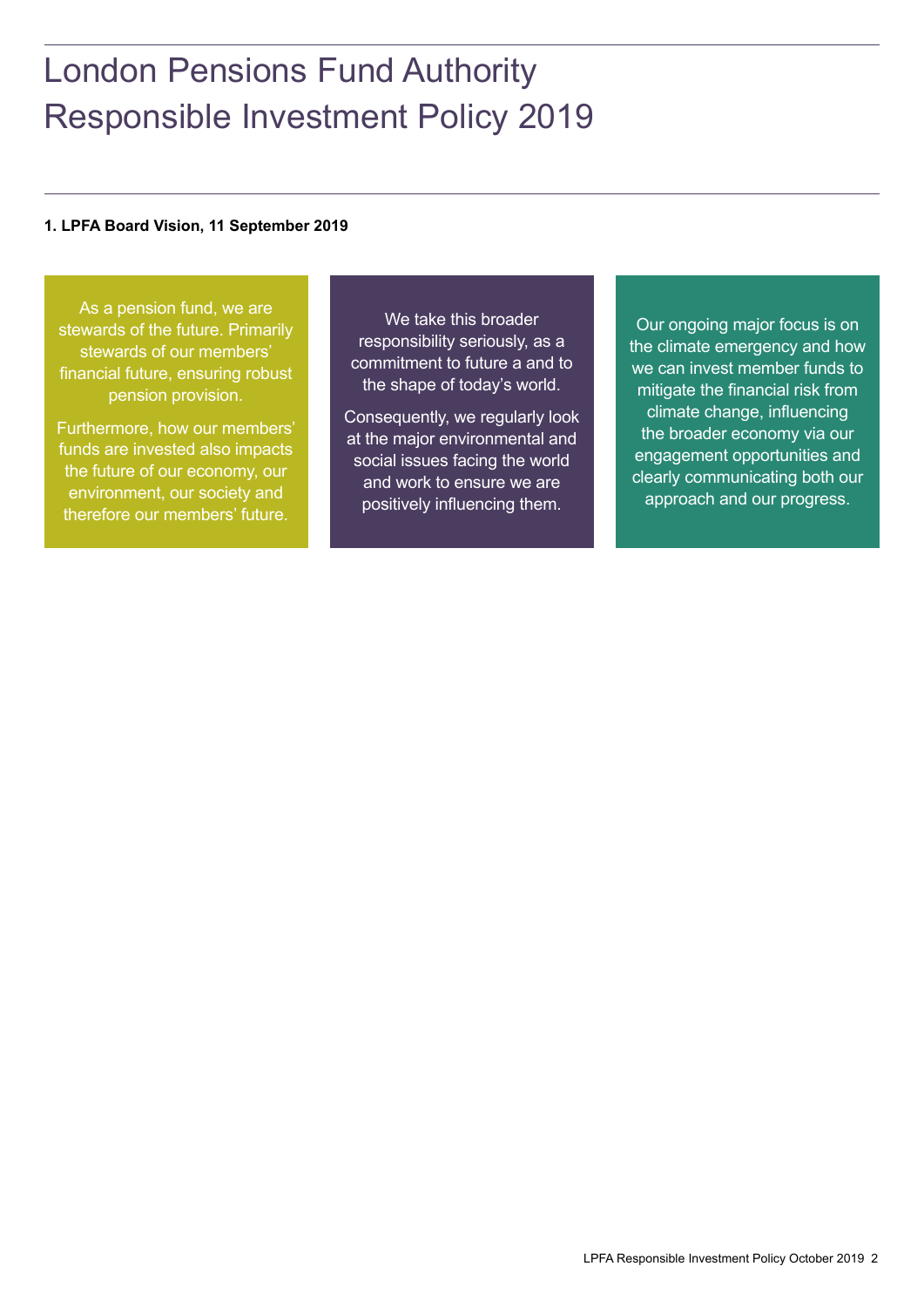## London Pensions Fund Authority Responsible Investment Policy 2019

#### **1. LPFA Board Vision, 11 September 2019**

As a pension fund, we are stewards of the future. Primarily stewards of our members' financial future, ensuring robust pension provision.

Furthermore, how our members' funds are invested also impacts the future of our economy, our environment, our society and therefore our members' future.

We take this broader responsibility seriously, as a commitment to future a and to the shape of today's world.

Consequently, we regularly look at the major environmental and social issues facing the world and work to ensure we are positively influencing them.

Our ongoing major focus is on the climate emergency and how we can invest member funds to mitigate the financial risk from climate change, influencing the broader economy via our engagement opportunities and clearly communicating both our approach and our progress.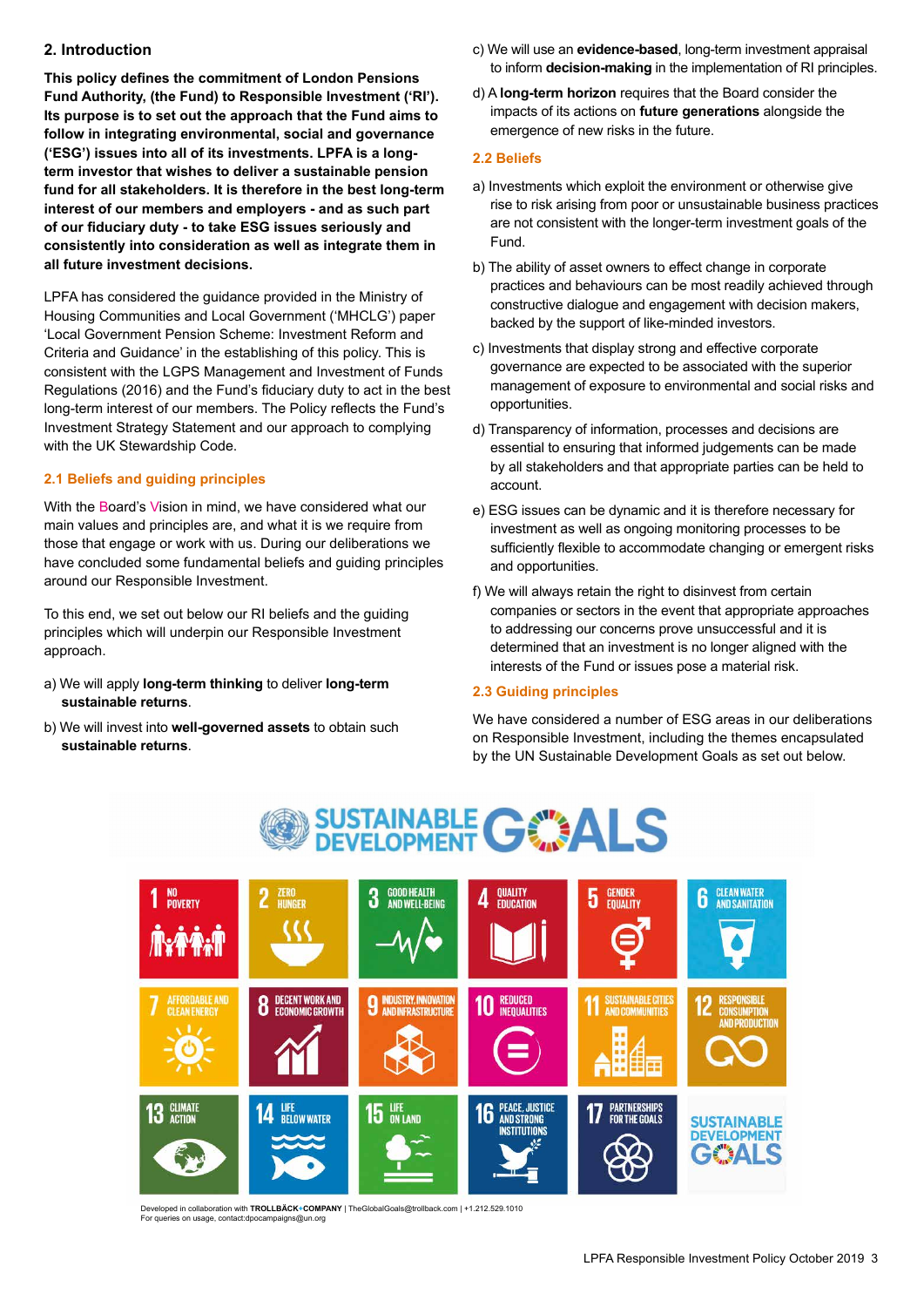#### **2. Introduction**

**This policy defines the commitment of London Pensions Fund Authority, (the Fund) to Responsible Investment ('RI'). Its purpose is to set out the approach that the Fund aims to follow in integrating environmental, social and governance ('ESG') issues into all of its investments. LPFA is a longterm investor that wishes to deliver a sustainable pension fund for all stakeholders. It is therefore in the best long-term interest of our members and employers - and as such part of our fiduciary duty - to take ESG issues seriously and consistently into consideration as well as integrate them in all future investment decisions.**

LPFA has considered the guidance provided in the Ministry of Housing Communities and Local Government ('MHCLG') paper 'Local Government Pension Scheme: Investment Reform and Criteria and Guidance' in the establishing of this policy. This is consistent with the LGPS Management and Investment of Funds Regulations (2016) and the Fund's fiduciary duty to act in the best long-term interest of our members. The Policy reflects the Fund's Investment Strategy Statement and our approach to complying with the UK Stewardship Code.

#### **2.1 Beliefs and guiding principles**

With the Board's Vision in mind, we have considered what our main values and principles are, and what it is we require from those that engage or work with us. During our deliberations we have concluded some fundamental beliefs and guiding principles around our Responsible Investment.

To this end, we set out below our RI beliefs and the guiding principles which will underpin our Responsible Investment approach.

- a) We will apply **long-term thinking** to deliver **long-term sustainable returns**.
- b) We will invest into **well-governed assets** to obtain such **sustainable returns**.
- c) We will use an **evidence-based**, long-term investment appraisal to inform **decision-making** in the implementation of RI principles.
- d) A **long-term horizon** requires that the Board consider the impacts of its actions on **future generations** alongside the emergence of new risks in the future.

#### **2.2 Beliefs**

- a) Investments which exploit the environment or otherwise give rise to risk arising from poor or unsustainable business practices are not consistent with the longer-term investment goals of the Fund.
- b) The ability of asset owners to effect change in corporate practices and behaviours can be most readily achieved through constructive dialogue and engagement with decision makers, backed by the support of like-minded investors.
- c) Investments that display strong and effective corporate governance are expected to be associated with the superior management of exposure to environmental and social risks and opportunities.
- d) Transparency of information, processes and decisions are essential to ensuring that informed judgements can be made by all stakeholders and that appropriate parties can be held to account.
- e) ESG issues can be dynamic and it is therefore necessary for investment as well as ongoing monitoring processes to be sufficiently flexible to accommodate changing or emergent risks and opportunities.
- f) We will always retain the right to disinvest from certain companies or sectors in the event that appropriate approaches to addressing our concerns prove unsuccessful and it is determined that an investment is no longer aligned with the interests of the Fund or issues pose a material risk.

#### **2.3 Guiding principles**

We have considered a number of ESG areas in our deliberations on Responsible Investment, including the themes encapsulated by the UN Sustainable Development Goals as set out below.



Developed in collaboration with **TROLLBÄCK+COMPANY** | TheGlobalGoals@trollback.com | +1.212.529.1010 For queries on usage, contact:dpocampaigns@un.org

# **SUSTAINABLE GOMALS**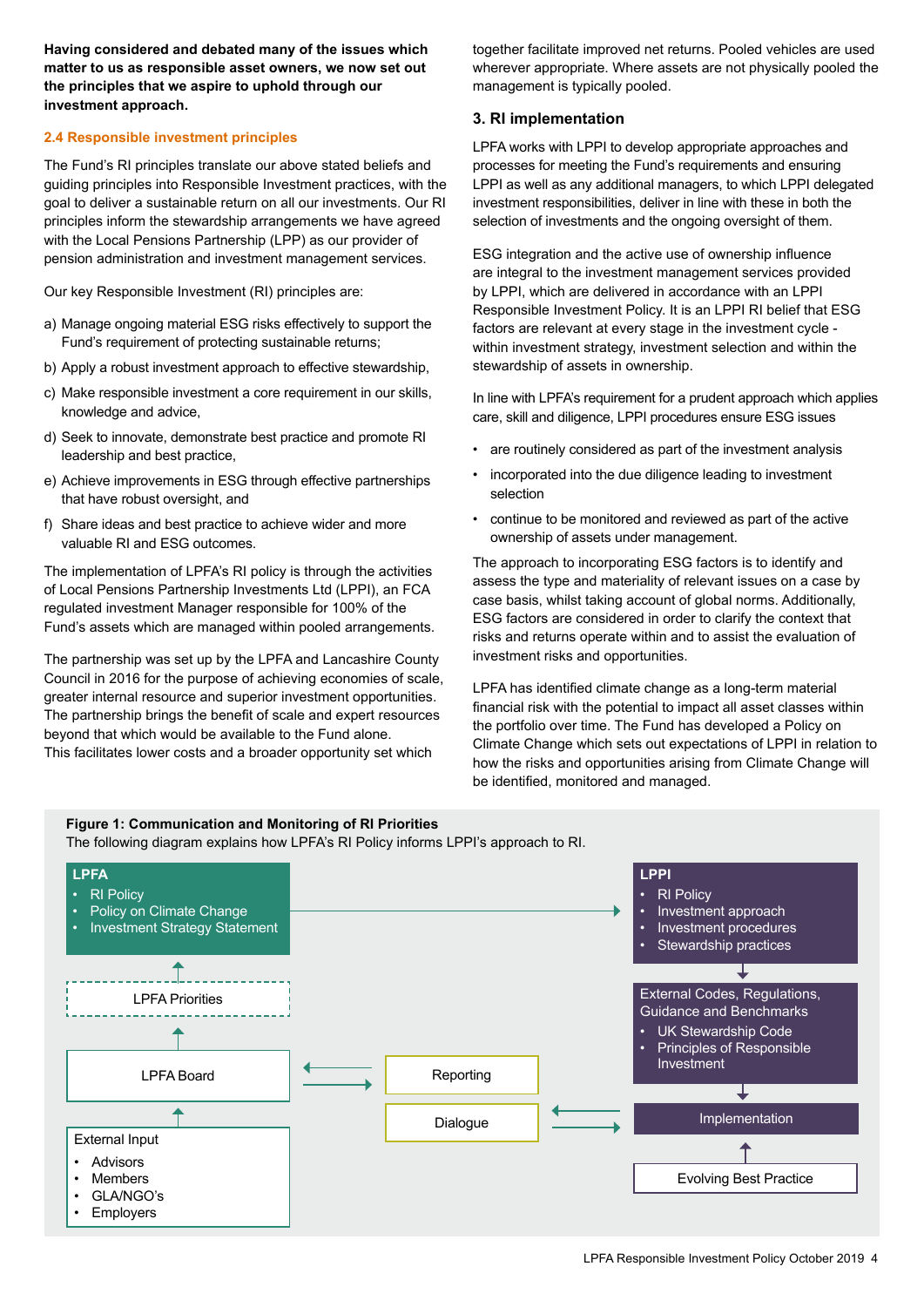**Having considered and debated many of the issues which matter to us as responsible asset owners, we now set out the principles that we aspire to uphold through our investment approach.**

#### **2.4 Responsible investment principles**

The Fund's RI principles translate our above stated beliefs and guiding principles into Responsible Investment practices, with the goal to deliver a sustainable return on all our investments. Our RI principles inform the stewardship arrangements we have agreed with the Local Pensions Partnership (LPP) as our provider of pension administration and investment management services.

Our key Responsible Investment (RI) principles are:

- a) Manage ongoing material ESG risks effectively to support the Fund's requirement of protecting sustainable returns;
- b) Apply a robust investment approach to effective stewardship,
- c) Make responsible investment a core requirement in our skills, knowledge and advice,
- d) Seek to innovate, demonstrate best practice and promote RI leadership and best practice,
- e) Achieve improvements in ESG through effective partnerships that have robust oversight, and
- f) Share ideas and best practice to achieve wider and more valuable RI and ESG outcomes.

The implementation of LPFA's RI policy is through the activities of Local Pensions Partnership Investments Ltd (LPPI), an FCA regulated investment Manager responsible for 100% of the Fund's assets which are managed within pooled arrangements.

The partnership was set up by the LPFA and Lancashire County Council in 2016 for the purpose of achieving economies of scale, greater internal resource and superior investment opportunities. The partnership brings the benefit of scale and expert resources beyond that which would be available to the Fund alone. This facilitates lower costs and a broader opportunity set which

together facilitate improved net returns. Pooled vehicles are used wherever appropriate. Where assets are not physically pooled the management is typically pooled.

#### **3. RI implementation**

LPFA works with LPPI to develop appropriate approaches and processes for meeting the Fund's requirements and ensuring LPPI as well as any additional managers, to which LPPI delegated investment responsibilities, deliver in line with these in both the selection of investments and the ongoing oversight of them.

ESG integration and the active use of ownership influence are integral to the investment management services provided by LPPI, which are delivered in accordance with an LPPI Responsible Investment Policy. It is an LPPI RI belief that ESG factors are relevant at every stage in the investment cycle within investment strategy, investment selection and within the stewardship of assets in ownership.

In line with LPFA's requirement for a prudent approach which applies care, skill and diligence, LPPI procedures ensure ESG issues

- are routinely considered as part of the investment analysis
- incorporated into the due diligence leading to investment selection
- continue to be monitored and reviewed as part of the active ownership of assets under management.

The approach to incorporating ESG factors is to identify and assess the type and materiality of relevant issues on a case by case basis, whilst taking account of global norms. Additionally, ESG factors are considered in order to clarify the context that risks and returns operate within and to assist the evaluation of investment risks and opportunities.

LPFA has identified climate change as a long-term material financial risk with the potential to impact all asset classes within the portfolio over time. The Fund has developed a Policy on Climate Change which sets out expectations of LPPI in relation to how the risks and opportunities arising from Climate Change will be identified, monitored and managed.

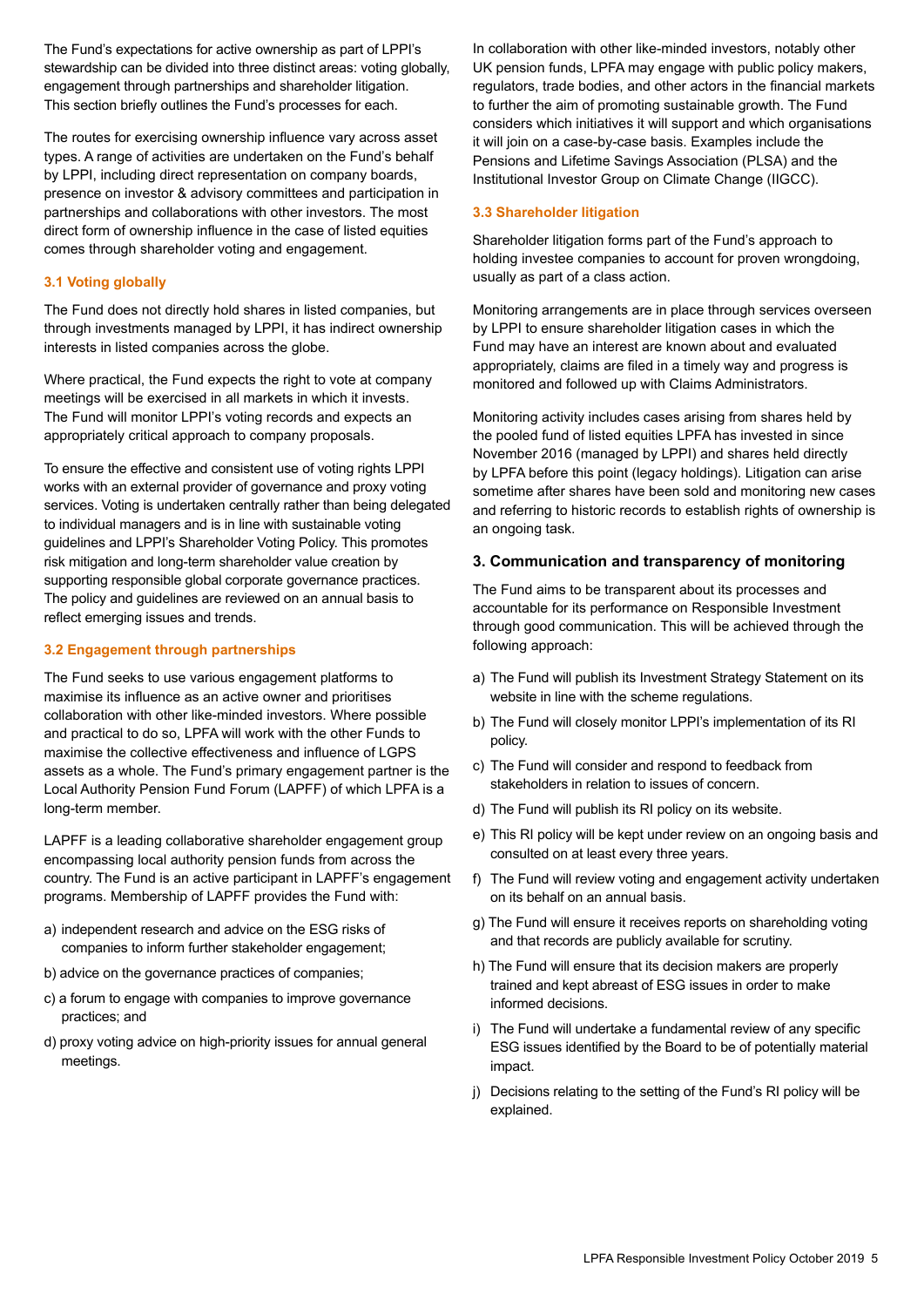The Fund's expectations for active ownership as part of LPPI's stewardship can be divided into three distinct areas: voting globally, engagement through partnerships and shareholder litigation. This section briefly outlines the Fund's processes for each.

The routes for exercising ownership influence vary across asset types. A range of activities are undertaken on the Fund's behalf by LPPI, including direct representation on company boards, presence on investor & advisory committees and participation in partnerships and collaborations with other investors. The most direct form of ownership influence in the case of listed equities comes through shareholder voting and engagement.

#### **3.1 Voting globally**

The Fund does not directly hold shares in listed companies, but through investments managed by LPPI, it has indirect ownership interests in listed companies across the globe.

Where practical, the Fund expects the right to vote at company meetings will be exercised in all markets in which it invests. The Fund will monitor LPPI's voting records and expects an appropriately critical approach to company proposals.

To ensure the effective and consistent use of voting rights LPPI works with an external provider of governance and proxy voting services. Voting is undertaken centrally rather than being delegated to individual managers and is in line with sustainable voting guidelines and LPPI's Shareholder Voting Policy. This promotes risk mitigation and long-term shareholder value creation by supporting responsible global corporate governance practices. The policy and guidelines are reviewed on an annual basis to reflect emerging issues and trends.

#### **3.2 Engagement through partnerships**

The Fund seeks to use various engagement platforms to maximise its influence as an active owner and prioritises collaboration with other like-minded investors. Where possible and practical to do so, LPFA will work with the other Funds to maximise the collective effectiveness and influence of LGPS assets as a whole. The Fund's primary engagement partner is the Local Authority Pension Fund Forum (LAPFF) of which LPFA is a long-term member.

LAPFF is a leading collaborative shareholder engagement group encompassing local authority pension funds from across the country. The Fund is an active participant in LAPFF's engagement programs. Membership of LAPFF provides the Fund with:

- a) independent research and advice on the ESG risks of companies to inform further stakeholder engagement;
- b) advice on the governance practices of companies;
- c) a forum to engage with companies to improve governance practices; and
- d) proxy voting advice on high-priority issues for annual general meetings.

In collaboration with other like-minded investors, notably other UK pension funds, LPFA may engage with public policy makers, regulators, trade bodies, and other actors in the financial markets to further the aim of promoting sustainable growth. The Fund considers which initiatives it will support and which organisations it will join on a case-by-case basis. Examples include the Pensions and Lifetime Savings Association (PLSA) and the Institutional Investor Group on Climate Change (IIGCC).

#### **3.3 Shareholder litigation**

Shareholder litigation forms part of the Fund's approach to holding investee companies to account for proven wrongdoing, usually as part of a class action.

Monitoring arrangements are in place through services overseen by LPPI to ensure shareholder litigation cases in which the Fund may have an interest are known about and evaluated appropriately, claims are filed in a timely way and progress is monitored and followed up with Claims Administrators.

Monitoring activity includes cases arising from shares held by the pooled fund of listed equities LPFA has invested in since November 2016 (managed by LPPI) and shares held directly by LPFA before this point (legacy holdings). Litigation can arise sometime after shares have been sold and monitoring new cases and referring to historic records to establish rights of ownership is an ongoing task.

#### **3. Communication and transparency of monitoring**

The Fund aims to be transparent about its processes and accountable for its performance on Responsible Investment through good communication. This will be achieved through the following approach:

- a) The Fund will publish its Investment Strategy Statement on its website in line with the scheme regulations.
- b) The Fund will closely monitor LPPI's implementation of its RI policy.
- c) The Fund will consider and respond to feedback from stakeholders in relation to issues of concern.
- d) The Fund will publish its RI policy on its website.
- e) This RI policy will be kept under review on an ongoing basis and consulted on at least every three years.
- f) The Fund will review voting and engagement activity undertaken on its behalf on an annual basis.
- g) The Fund will ensure it receives reports on shareholding voting and that records are publicly available for scrutiny.
- h) The Fund will ensure that its decision makers are properly trained and kept abreast of ESG issues in order to make informed decisions.
- i) The Fund will undertake a fundamental review of any specific ESG issues identified by the Board to be of potentially material impact.
- j) Decisions relating to the setting of the Fund's RI policy will be explained.